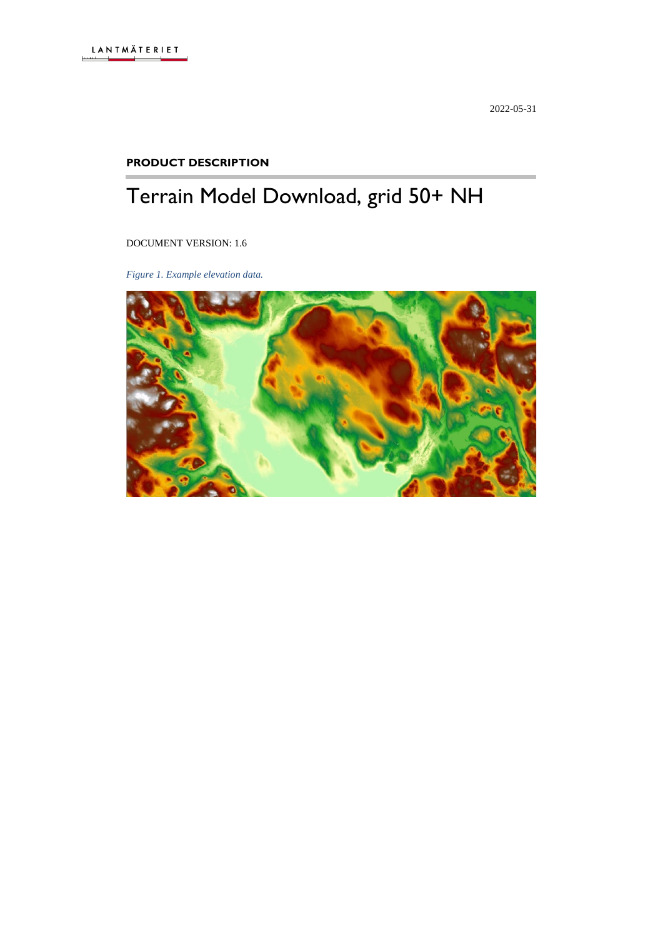2022-05-31

#### **PRODUCT DESCRIPTION**

# Terrain Model Download, grid 50+ NH

DOCUMENT VERSION: 1.6

*Figure 1. Example elevation data.*

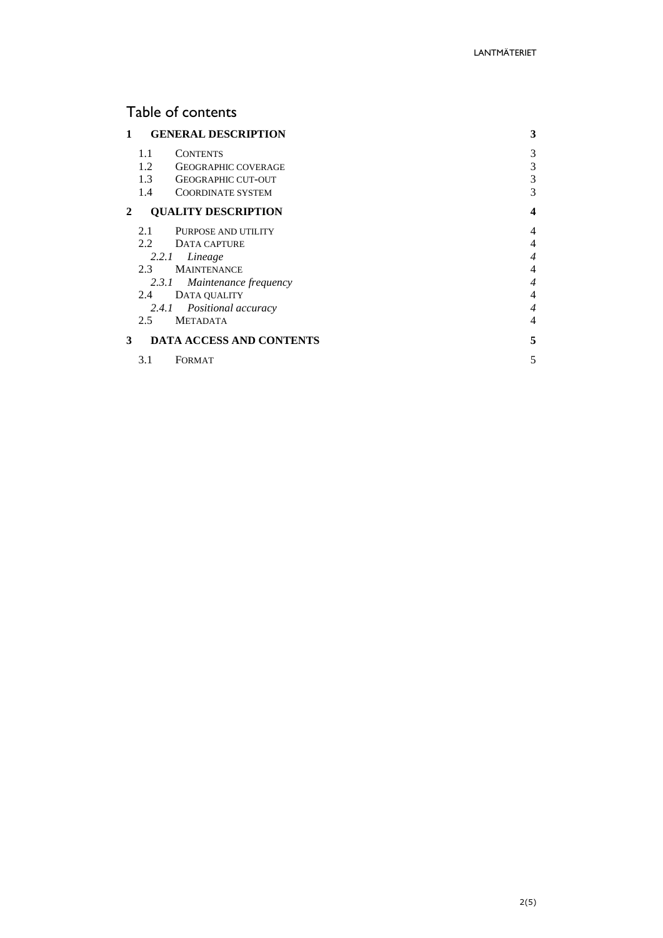# Table of contents

| 1 | <b>GENERAL DESCRIPTION</b>        | 3 |
|---|-----------------------------------|---|
|   | 1.1<br><b>CONTENTS</b>            | 3 |
|   | 1.2<br><b>GEOGRAPHIC COVERAGE</b> | 3 |
|   | 1.3<br><b>GEOGRAPHIC CUT-OUT</b>  | 3 |
|   | 1.4<br><b>COORDINATE SYSTEM</b>   | 3 |
| 2 | <b>QUALITY DESCRIPTION</b>        | 4 |
|   | PURPOSE AND UTILITY<br>2.1        | 4 |
|   | $2.2^{\circ}$<br>DATA CAPTURE     | 4 |
|   | Lineage<br>2.2.1                  | 4 |
|   | <b>MAINTENANCE</b><br>$2.3 -$     | 4 |
|   | Maintenance frequency<br>2.3.1    | 4 |
|   | DATA QUALITY<br>2.4               | 4 |
|   | Positional accuracy<br>2.4.1      | 4 |
|   | $2.5^{\circ}$<br><b>METADATA</b>  | 4 |
| 3 | <b>DATA ACCESS AND CONTENTS</b>   | 5 |
|   | 3.1<br>FORMAT                     | 5 |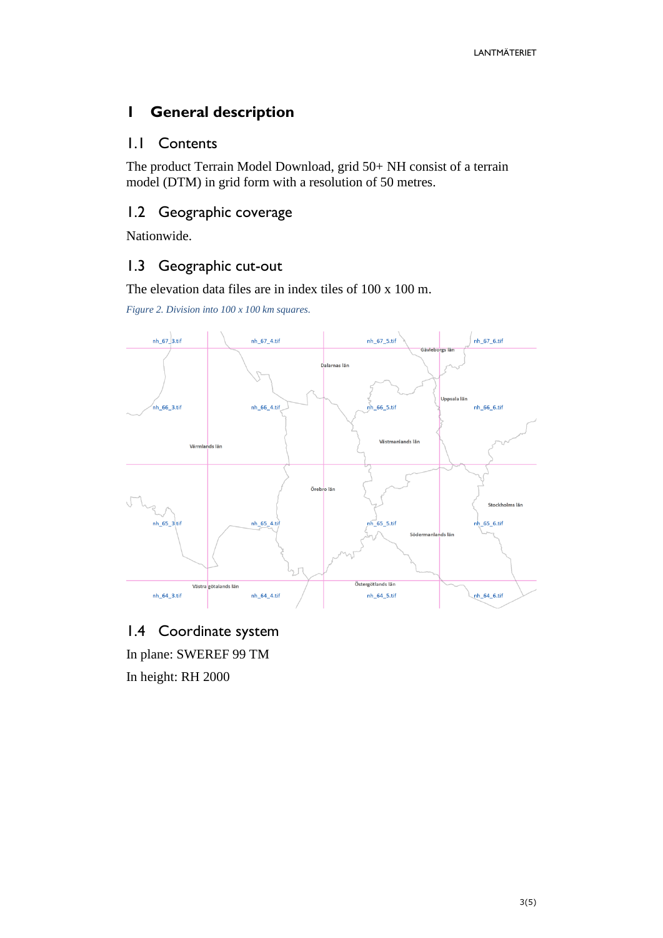# <span id="page-2-0"></span>**1 General description**

## <span id="page-2-1"></span>1.1 Contents

The product Terrain Model Download, grid 50+ NH consist of a terrain model (DTM) in grid form with a resolution of 50 metres.

## <span id="page-2-2"></span>1.2 Geographic coverage

Nationwide.

# <span id="page-2-3"></span>1.3 Geographic cut-out

The elevation data files are in index tiles of 100 x 100 m.

*Figure 2. Division into 100 x 100 km squares.*



<span id="page-2-4"></span>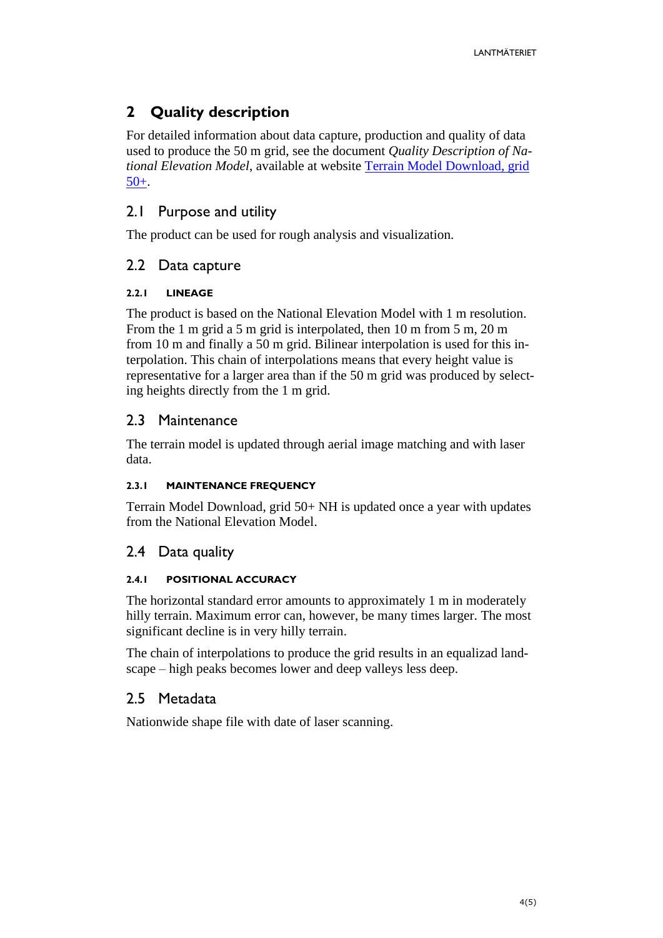# <span id="page-3-0"></span>**2 Quality description**

For detailed information about data capture, production and quality of data used to produce the 50 m grid, see the document *Quality Description of National Elevation Model*, available at website [Terrain Model Download, grid](https://www.lantmateriet.se/sv/Kartor-och-geografisk-information/Hojddata/GSD-Hojddata-grid-50-/)  [50+.](https://www.lantmateriet.se/sv/Kartor-och-geografisk-information/Hojddata/GSD-Hojddata-grid-50-/)

# <span id="page-3-1"></span>2.1 Purpose and utility

The product can be used for rough analysis and visualization.

## <span id="page-3-2"></span>2.2 Data capture

#### <span id="page-3-3"></span>**2.2.1 LINEAGE**

The product is based on the National Elevation Model with 1 m resolution. From the 1 m grid a 5 m grid is interpolated, then 10 m from 5 m, 20 m from 10 m and finally a 50 m grid. Bilinear interpolation is used for this interpolation. This chain of interpolations means that every height value is representative for a larger area than if the 50 m grid was produced by selecting heights directly from the 1 m grid.

## <span id="page-3-4"></span>2.3 Maintenance

The terrain model is updated through aerial image matching and with laser data.

#### <span id="page-3-5"></span>**2.3.1 MAINTENANCE FREQUENCY**

Terrain Model Download, grid 50+ NH is updated once a year with updates from the National Elevation Model.

#### <span id="page-3-6"></span>2.4 Data quality

#### <span id="page-3-7"></span>**2.4.1 POSITIONAL ACCURACY**

The horizontal standard error amounts to approximately 1 m in moderately hilly terrain. Maximum error can, however, be many times larger. The most significant decline is in very hilly terrain.

The chain of interpolations to produce the grid results in an equalizad landscape – high peaks becomes lower and deep valleys less deep.

#### <span id="page-3-8"></span>2.5 Metadata

Nationwide shape file with date of laser scanning.